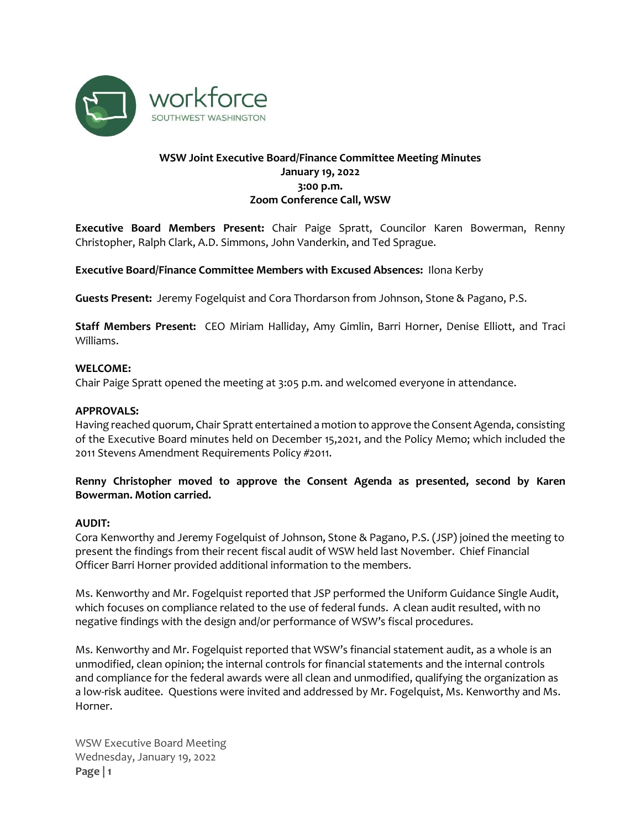

# **WSW Joint Executive Board/Finance Committee Meeting Minutes January 19, 2022 3:00 p.m. Zoom Conference Call, WSW**

**Executive Board Members Present:** Chair Paige Spratt, Councilor Karen Bowerman, Renny Christopher, Ralph Clark, A.D. Simmons, John Vanderkin, and Ted Sprague.

# **Executive Board/Finance Committee Members with Excused Absences:** Ilona Kerby

**Guests Present:** Jeremy Fogelquist and Cora Thordarson from Johnson, Stone & Pagano, P.S.

**Staff Members Present:** CEO Miriam Halliday, Amy Gimlin, Barri Horner, Denise Elliott, and Traci Williams.

#### **WELCOME:**

Chair Paige Spratt opened the meeting at 3:05 p.m. and welcomed everyone in attendance.

#### **APPROVALS:**

Having reached quorum, Chair Spratt entertained a motion to approve the Consent Agenda, consisting of the Executive Board minutes held on December 15,2021, and the Policy Memo; which included the 2011 Stevens Amendment Requirements Policy #2011.

# **Renny Christopher moved to approve the Consent Agenda as presented, second by Karen Bowerman. Motion carried.**

#### **AUDIT:**

Cora Kenworthy and Jeremy Fogelquist of Johnson, Stone & Pagano, P.S. (JSP) joined the meeting to present the findings from their recent fiscal audit of WSW held last November. Chief Financial Officer Barri Horner provided additional information to the members.

Ms. Kenworthy and Mr. Fogelquist reported that JSP performed the Uniform Guidance Single Audit, which focuses on compliance related to the use of federal funds. A clean audit resulted, with no negative findings with the design and/or performance of WSW's fiscal procedures.

Ms. Kenworthy and Mr. Fogelquist reported that WSW's financial statement audit, as a whole is an unmodified, clean opinion; the internal controls for financial statements and the internal controls and compliance for the federal awards were all clean and unmodified, qualifying the organization as a low-risk auditee. Questions were invited and addressed by Mr. Fogelquist, Ms. Kenworthy and Ms. Horner.

WSW Executive Board Meeting Wednesday, January 19, 2022 **Page | 1**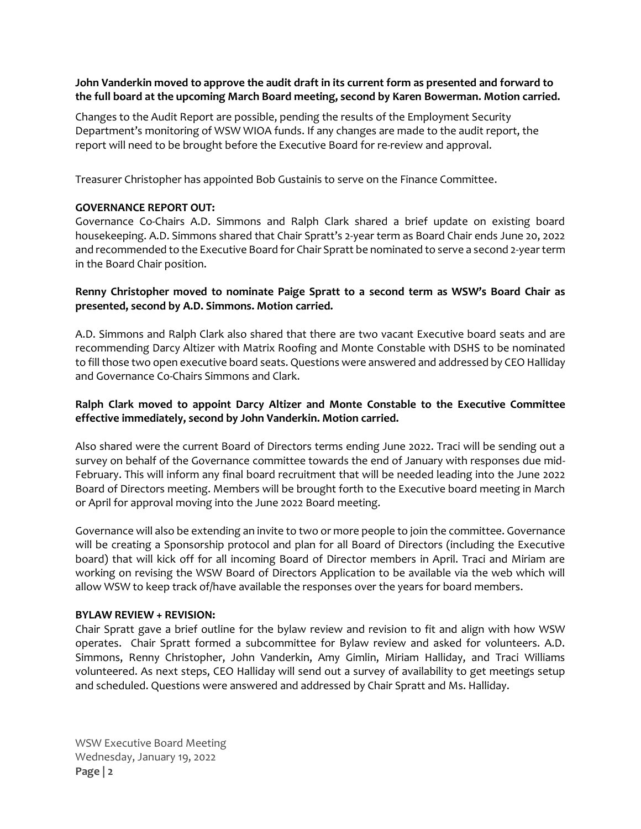# **John Vanderkin moved to approve the audit draft in its current form as presented and forward to the full board at the upcoming March Board meeting, second by Karen Bowerman. Motion carried.**

Changes to the Audit Report are possible, pending the results of the Employment Security Department's monitoring of WSW WIOA funds. If any changes are made to the audit report, the report will need to be brought before the Executive Board for re-review and approval.

Treasurer Christopher has appointed Bob Gustainis to serve on the Finance Committee.

# **GOVERNANCE REPORT OUT:**

Governance Co-Chairs A.D. Simmons and Ralph Clark shared a brief update on existing board housekeeping. A.D. Simmons shared that Chair Spratt's 2-year term as Board Chair ends June 20, 2022 and recommended to the Executive Board for Chair Spratt be nominated to serve a second 2-year term in the Board Chair position.

# **Renny Christopher moved to nominate Paige Spratt to a second term as WSW's Board Chair as presented, second by A.D. Simmons. Motion carried.**

A.D. Simmons and Ralph Clark also shared that there are two vacant Executive board seats and are recommending Darcy Altizer with Matrix Roofing and Monte Constable with DSHS to be nominated to fill those two open executive board seats. Questions were answered and addressed by CEO Halliday and Governance Co-Chairs Simmons and Clark.

# **Ralph Clark moved to appoint Darcy Altizer and Monte Constable to the Executive Committee effective immediately, second by John Vanderkin. Motion carried.**

Also shared were the current Board of Directors terms ending June 2022. Traci will be sending out a survey on behalf of the Governance committee towards the end of January with responses due mid-February. This will inform any final board recruitment that will be needed leading into the June 2022 Board of Directors meeting. Members will be brought forth to the Executive board meeting in March or April for approval moving into the June 2022 Board meeting.

Governance will also be extending an invite to two or more people to join the committee. Governance will be creating a Sponsorship protocol and plan for all Board of Directors (including the Executive board) that will kick off for all incoming Board of Director members in April. Traci and Miriam are working on revising the WSW Board of Directors Application to be available via the web which will allow WSW to keep track of/have available the responses over the years for board members.

#### **BYLAW REVIEW + REVISION:**

Chair Spratt gave a brief outline for the bylaw review and revision to fit and align with how WSW operates. Chair Spratt formed a subcommittee for Bylaw review and asked for volunteers. A.D. Simmons, Renny Christopher, John Vanderkin, Amy Gimlin, Miriam Halliday, and Traci Williams volunteered. As next steps, CEO Halliday will send out a survey of availability to get meetings setup and scheduled. Questions were answered and addressed by Chair Spratt and Ms. Halliday.

WSW Executive Board Meeting Wednesday, January 19, 2022 **Page | 2**